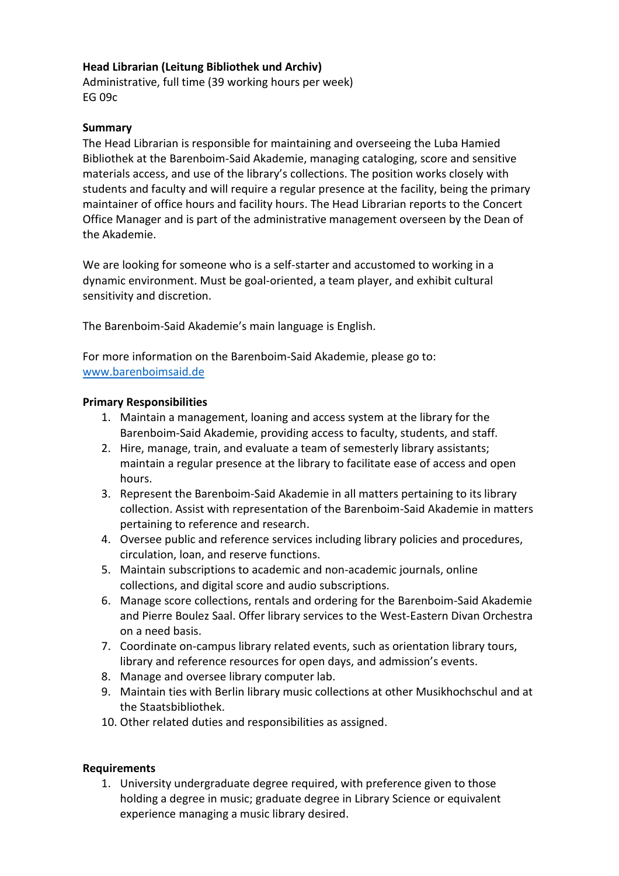## **Head Librarian (Leitung Bibliothek und Archiv)**

Administrative, full time (39 working hours per week) EG 09c

## **Summary**

The Head Librarian is responsible for maintaining and overseeing the Luba Hamied Bibliothek at the Barenboim-Said Akademie, managing cataloging, score and sensitive materials access, and use of the library's collections. The position works closely with students and faculty and will require a regular presence at the facility, being the primary maintainer of office hours and facility hours. The Head Librarian reports to the Concert Office Manager and is part of the administrative management overseen by the Dean of the Akademie.

We are looking for someone who is a self-starter and accustomed to working in a dynamic environment. Must be goal-oriented, a team player, and exhibit cultural sensitivity and discretion.

The Barenboim-Said Akademie's main language is English.

For more information on the Barenboim-Said Akademie, please go to: [www.barenboimsaid.de](http://www.barenboimsaid.de/)

## **Primary Responsibilities**

- 1. Maintain a management, loaning and access system at the library for the Barenboim-Said Akademie, providing access to faculty, students, and staff.
- 2. Hire, manage, train, and evaluate a team of semesterly library assistants; maintain a regular presence at the library to facilitate ease of access and open hours.
- 3. Represent the Barenboim-Said Akademie in all matters pertaining to its library collection. Assist with representation of the Barenboim-Said Akademie in matters pertaining to reference and research.
- 4. Oversee public and reference services including library policies and procedures, circulation, loan, and reserve functions.
- 5. Maintain subscriptions to academic and non-academic journals, online collections, and digital score and audio subscriptions.
- 6. Manage score collections, rentals and ordering for the Barenboim-Said Akademie and Pierre Boulez Saal. Offer library services to the West-Eastern Divan Orchestra on a need basis.
- 7. Coordinate on-campus library related events, such as orientation library tours, library and reference resources for open days, and admission's events.
- 8. Manage and oversee library computer lab.
- 9. Maintain ties with Berlin library music collections at other Musikhochschul and at the Staatsbibliothek.
- 10. Other related duties and responsibilities as assigned.

## **Requirements**

1. University undergraduate degree required, with preference given to those holding a degree in music; graduate degree in Library Science or equivalent experience managing a music library desired.